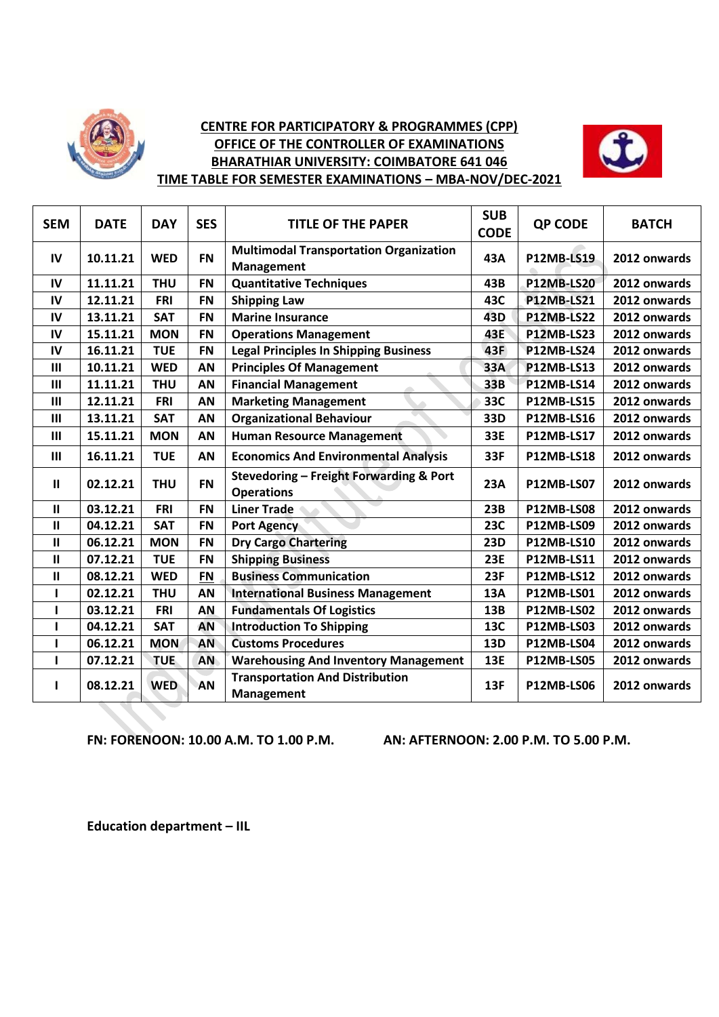

## **CENTRE FOR PARTICIPATORY & PROGRAMMES (CPP) OFFICE OF THE CONTROLLER OF EXAMINATIONS BHARATHIAR UNIVERSITY: COIMBATORE 641 046 TIME TABLE FOR SEMESTER EXAMINATIONS – MBA-NOV/DEC-2021**



| <b>SEM</b>     | <b>DATE</b> | <b>DAY</b> | <b>SES</b> | <b>TITLE OF THE PAPER</b>                                    | <b>SUB</b><br><b>CODE</b> | <b>QP CODE</b>    | <b>BATCH</b> |
|----------------|-------------|------------|------------|--------------------------------------------------------------|---------------------------|-------------------|--------------|
| IV             | 10.11.21    | <b>WED</b> | <b>FN</b>  | <b>Multimodal Transportation Organization</b><br>Management  | 43A                       | <b>P12MB-LS19</b> | 2012 onwards |
| IV             | 11.11.21    | <b>THU</b> | <b>FN</b>  | <b>Quantitative Techniques</b>                               | 43B                       | <b>P12MB-LS20</b> | 2012 onwards |
| IV             | 12.11.21    | <b>FRI</b> | <b>FN</b>  | <b>Shipping Law</b>                                          | 43C                       | <b>P12MB-LS21</b> | 2012 onwards |
| IV             | 13.11.21    | <b>SAT</b> | <b>FN</b>  | <b>Marine Insurance</b>                                      | 43D                       | <b>P12MB-LS22</b> | 2012 onwards |
| IV             | 15.11.21    | <b>MON</b> | <b>FN</b>  | <b>Operations Management</b>                                 | 43E                       | <b>P12MB-LS23</b> | 2012 onwards |
| IV             | 16.11.21    | <b>TUE</b> | <b>FN</b>  | <b>Legal Principles In Shipping Business</b>                 | 43F                       | <b>P12MB-LS24</b> | 2012 onwards |
| $\mathbf{III}$ | 10.11.21    | <b>WED</b> | AN         | <b>Principles Of Management</b>                              | 33A                       | <b>P12MB-LS13</b> | 2012 onwards |
| $\mathbf{III}$ | 11.11.21    | <b>THU</b> | AN         | <b>Financial Management</b>                                  | 33B                       | <b>P12MB-LS14</b> | 2012 onwards |
| III            | 12.11.21    | <b>FRI</b> | AN         | <b>Marketing Management</b>                                  | 33C                       | <b>P12MB-LS15</b> | 2012 onwards |
| $\mathbf{III}$ | 13.11.21    | <b>SAT</b> | AN         | <b>Organizational Behaviour</b>                              | 33D                       | <b>P12MB-LS16</b> | 2012 onwards |
| $\mathbf{III}$ | 15.11.21    | <b>MON</b> | AN         | <b>Human Resource Management</b>                             | 33E                       | <b>P12MB-LS17</b> | 2012 onwards |
| $\mathbf{III}$ | 16.11.21    | <b>TUE</b> | AN         | <b>Economics And Environmental Analysis</b>                  | 33F                       | <b>P12MB-LS18</b> | 2012 onwards |
| $\mathbf{I}$   | 02.12.21    | <b>THU</b> | <b>FN</b>  | Stevedoring - Freight Forwarding & Port<br><b>Operations</b> | 23A                       | <b>P12MB-LS07</b> | 2012 onwards |
| $\mathbf{II}$  | 03.12.21    | <b>FRI</b> | <b>FN</b>  | <b>Liner Trade</b>                                           | 23B                       | <b>P12MB-LS08</b> | 2012 onwards |
| $\mathbf{I}$   | 04.12.21    | <b>SAT</b> | <b>FN</b>  | <b>Port Agency</b>                                           | 23C                       | <b>P12MB-LS09</b> | 2012 onwards |
| $\mathbf{H}$   | 06.12.21    | <b>MON</b> | <b>FN</b>  | <b>Dry Cargo Chartering</b>                                  | <b>23D</b>                | <b>P12MB-LS10</b> | 2012 onwards |
| $\mathbf{I}$   | 07.12.21    | <b>TUE</b> | <b>FN</b>  | <b>Shipping Business</b>                                     | 23E                       | P12MB-LS11        | 2012 onwards |
| $\mathbf{H}$   | 08.12.21    | <b>WED</b> | <b>FN</b>  | <b>Business Communication</b>                                | <b>23F</b>                | <b>P12MB-LS12</b> | 2012 onwards |
| ı              | 02.12.21    | <b>THU</b> | AN         | <b>International Business Management</b>                     | 13A                       | <b>P12MB-LS01</b> | 2012 onwards |
| ı              | 03.12.21    | <b>FRI</b> | AN         | <b>Fundamentals Of Logistics</b>                             | 13B                       | <b>P12MB-LS02</b> | 2012 onwards |
|                | 04.12.21    | <b>SAT</b> | AN         | <b>Introduction To Shipping</b>                              | 13C                       | <b>P12MB-LS03</b> | 2012 onwards |
|                | 06.12.21    | <b>MON</b> | AN         | <b>Customs Procedures</b>                                    | 13D                       | <b>P12MB-LS04</b> | 2012 onwards |
| ı              | 07.12.21    | <b>TUE</b> | <b>AN</b>  | <b>Warehousing And Inventory Management</b>                  | 13E                       | <b>P12MB-LS05</b> | 2012 onwards |
|                | 08.12.21    | <b>WED</b> | AN         | <b>Transportation And Distribution</b><br>Management         | 13F                       | <b>P12MB-LS06</b> | 2012 onwards |

**FN: FORENOON: 10.00 A.M. TO 1.00 P.M. AN: AFTERNOON: 2.00 P.M. TO 5.00 P.M.**

**Education department – IIL**